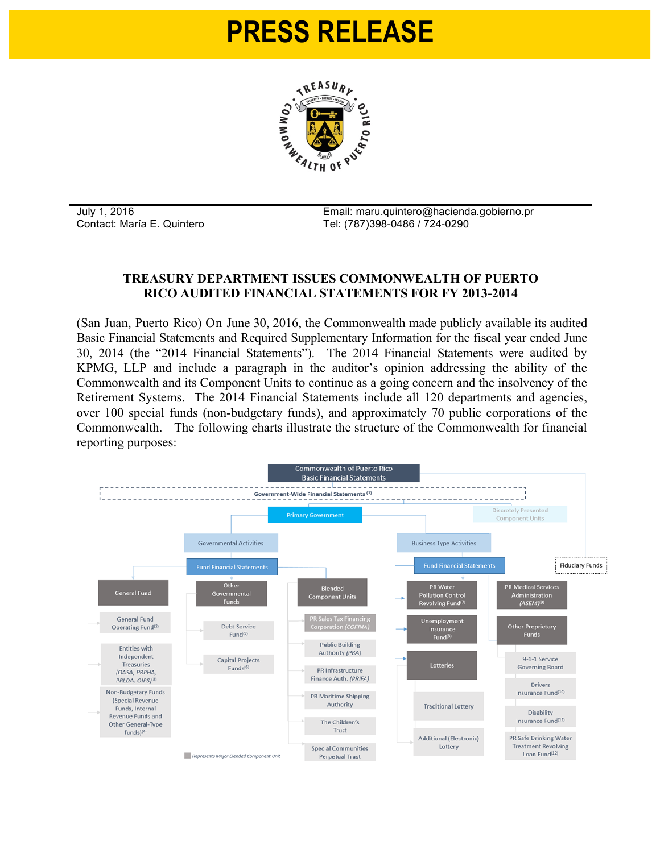## **PRESS RELEASE**



July 1, 2016 Email: maru.quintero@hacienda.gobierno.pr Contact: María E. Quintero Tel: (787)398-0486 / 724-0290

## **TREASURY DEPARTMENT ISSUES COMMONWEALTH OF PUERTO RICO AUDITED FINANCIAL STATEMENTS FOR FY 2013-2014**

(San Juan, Puerto Rico) On June 30, 2016, the Commonwealth made publicly available its audited Basic Financial Statements and Required Supplementary Information for the fiscal year ended June 30, 2014 (the "2014 Financial Statements"). The 2014 Financial Statements were audited by KPMG, LLP and include a paragraph in the auditor's opinion addressing the ability of the Commonwealth and its Component Units to continue as a going concern and the insolvency of the Retirement Systems. The 2014 Financial Statements include all 120 departments and agencies, over 100 special funds (non-budgetary funds), and approximately 70 public corporations of the Commonwealth. The following charts illustrate the structure of the Commonwealth for financial reporting purposes:

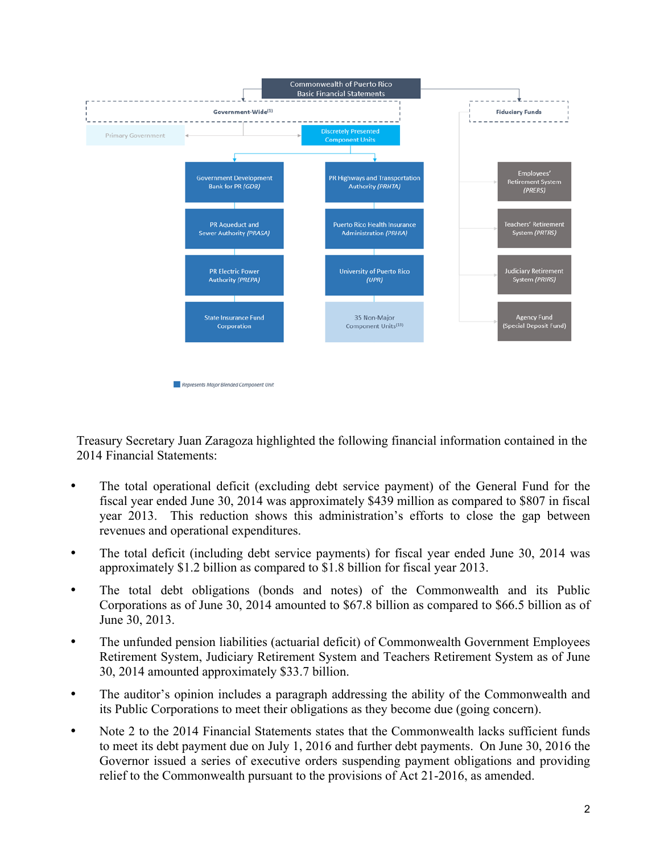

Treasury Secretary Juan Zaragoza highlighted the following financial information contained in the 2014 Financial Statements:

- The total operational deficit (excluding debt service payment) of the General Fund for the fiscal year ended June 30, 2014 was approximately \$439 million as compared to \$807 in fiscal year 2013. This reduction shows this administration's efforts to close the gap between revenues and operational expenditures.
- The total deficit (including debt service payments) for fiscal year ended June 30, 2014 was approximately \$1.2 billion as compared to \$1.8 billion for fiscal year 2013.
- The total debt obligations (bonds and notes) of the Commonwealth and its Public Corporations as of June 30, 2014 amounted to \$67.8 billion as compared to \$66.5 billion as of June 30, 2013.
- The unfunded pension liabilities (actuarial deficit) of Commonwealth Government Employees Retirement System, Judiciary Retirement System and Teachers Retirement System as of June 30, 2014 amounted approximately \$33.7 billion.
- The auditor's opinion includes a paragraph addressing the ability of the Commonwealth and its Public Corporations to meet their obligations as they become due (going concern).
- Note 2 to the 2014 Financial Statements states that the Commonwealth lacks sufficient funds to meet its debt payment due on July 1, 2016 and further debt payments. On June 30, 2016 the Governor issued a series of executive orders suspending payment obligations and providing relief to the Commonwealth pursuant to the provisions of Act 21-2016, as amended.